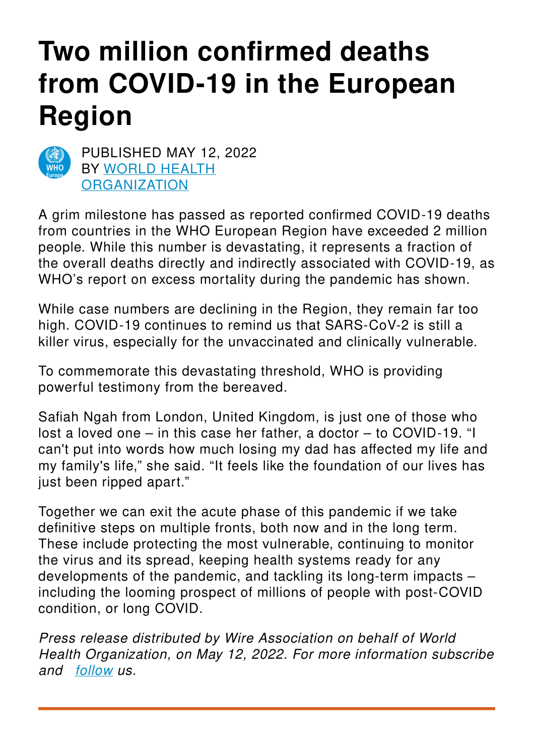# **Two million confirmed deaths from COVID-19 in the European Region**



PUBLISHED MAY 12, 2022 BY WORLD HEALTH **[ORGANIZATION](https://www.euro.who.int/en/home)** 

A grim milestone has passed as reported confirmed COVID-19 deaths from countries in the WHO European Region have exceeded 2 million people. While this number is devastating, it represents a fraction of the overall deaths directly and indirectly associated with COVID-19, as WHO's report on excess mortality during the pandemic has shown.

While case numbers are declining in the Region, they remain far too high. COVID-19 continues to remind us that SARS-CoV-2 is still a killer virus, especially for the unvaccinated and clinically vulnerable.

To commemorate this devastating threshold, WHO is providing powerful testimony from the bereaved.

Safiah Ngah from London, United Kingdom, is just one of those who lost a loved one – in this case her father, a doctor – to COVID-19. "I can't put into words how much losing my dad has affected my life and my family's life," she said. "It feels like the foundation of our lives has just been ripped apart."

Together we can exit the acute phase of this pandemic if we take definitive steps on multiple fronts, both now and in the long term. These include protecting the most vulnerable, continuing to monitor the virus and its spread, keeping health systems ready for any developments of the pandemic, and tackling its long-term impacts – including the looming prospect of millions of people with post-COVID condition, or long COVID.

*Press release distributed by Wire Association on behalf of World Health Organization, on May 12, 2022. For more information subscribe and [follow](https://wireassociation.eu) us.*